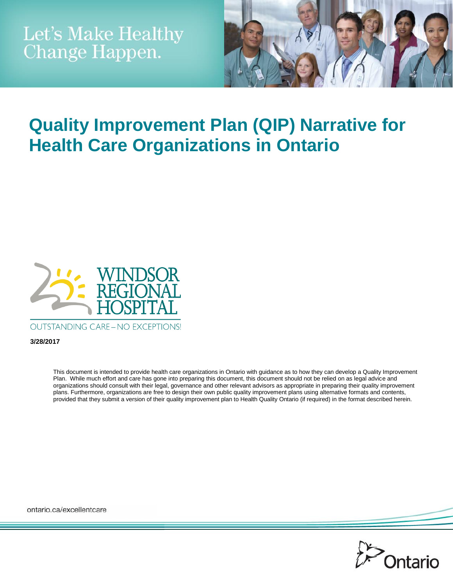

# **Quality Improvement Plan (QIP) Narrative for Health Care Organizations in Ontario**



**OUTSTANDING CARE-NO EXCEPTIONS!** 

**3/28/2017**

This document is intended to provide health care organizations in Ontario with guidance as to how they can develop a Quality Improvement Plan. While much effort and care has gone into preparing this document, this document should not be relied on as legal advice and organizations should consult with their legal, governance and other relevant advisors as appropriate in preparing their quality improvement plans. Furthermore, organizations are free to design their own public quality improvement plans using alternative formats and contents, provided that they submit a version of their quality improvement plan to Health Quality Ontario (if required) in the format described herein.

ontario.ca/excellentcare

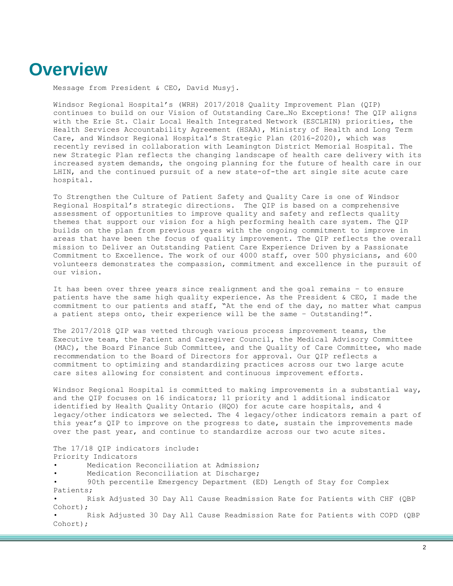#### **Overview**

Message from President & CEO, David Musyj.

Windsor Regional Hospital's (WRH) 2017/2018 Quality Improvement Plan (QIP) continues to build on our Vision of Outstanding Care…No Exceptions! The QIP aligns with the Erie St. Clair Local Health Integrated Network (ESCLHIN) priorities, the Health Services Accountability Agreement (HSAA), Ministry of Health and Long Term Care, and Windsor Regional Hospital's Strategic Plan (2016-2020), which was recently revised in collaboration with Leamington District Memorial Hospital. The new Strategic Plan reflects the changing landscape of health care delivery with its increased system demands, the ongoing planning for the future of health care in our LHIN, and the continued pursuit of a new state-of-the art single site acute care hospital.

To Strengthen the Culture of Patient Safety and Quality Care is one of Windsor Regional Hospital's strategic directions. The QIP is based on a comprehensive assessment of opportunities to improve quality and safety and reflects quality themes that support our vision for a high performing health care system. The QIP builds on the plan from previous years with the ongoing commitment to improve in areas that have been the focus of quality improvement. The QIP reflects the overall mission to Deliver an Outstanding Patient Care Experience Driven by a Passionate Commitment to Excellence. The work of our 4000 staff, over 500 physicians, and 600 volunteers demonstrates the compassion, commitment and excellence in the pursuit of our vision.

It has been over three years since realignment and the goal remains – to ensure patients have the same high quality experience. As the President & CEO, I made the commitment to our patients and staff, "At the end of the day, no matter what campus a patient steps onto, their experience will be the same – Outstanding!".

The 2017/2018 QIP was vetted through various process improvement teams, the Executive team, the Patient and Caregiver Council, the Medical Advisory Committee (MAC), the Board Finance Sub Committee, and the Quality of Care Committee, who made recommendation to the Board of Directors for approval. Our QIP reflects a commitment to optimizing and standardizing practices across our two large acute care sites allowing for consistent and continuous improvement efforts.

Windsor Regional Hospital is committed to making improvements in a substantial way, and the QIP focuses on 16 indicators; 11 priority and 1 additional indicator identified by Health Quality Ontario (HQO) for acute care hospitals, and 4 legacy/other indicators we selected. The 4 legacy/other indicators remain a part of this year's QIP to improve on the progress to date, sustain the improvements made over the past year, and continue to standardize across our two acute sites.

The 17/18 QIP indicators include: Priority Indicators Medication Reconciliation at Admission; Medication Reconciliation at Discharge; • 90th percentile Emergency Department (ED) Length of Stay for Complex Patients; Risk Adjusted 30 Day All Cause Readmission Rate for Patients with CHF (QBP Cohort); • Risk Adjusted 30 Day All Cause Readmission Rate for Patients with COPD (QBP Cohort);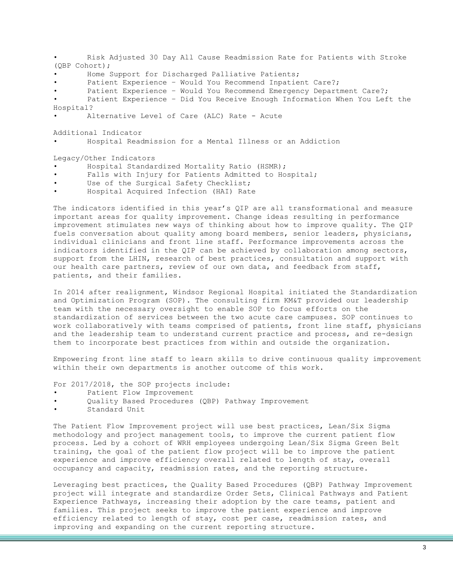• Risk Adjusted 30 Day All Cause Readmission Rate for Patients with Stroke (QBP Cohort); Home Support for Discharged Palliative Patients; Patient Experience - Would You Recommend Inpatient Care?; Patient Experience - Would You Recommend Emergency Department Care?; • Patient Experience – Did You Receive Enough Information When You Left the Hospital? • Alternative Level of Care (ALC) Rate - Acute Additional Indicator • Hospital Readmission for a Mental Illness or an Addiction Legacy/Other Indicators • Hospital Standardized Mortality Ratio (HSMR);

- Falls with Injury for Patients Admitted to Hospital;
- Use of the Surgical Safety Checklist;
- Hospital Acquired Infection (HAI) Rate

The indicators identified in this year's QIP are all transformational and measure important areas for quality improvement. Change ideas resulting in performance improvement stimulates new ways of thinking about how to improve quality. The QIP fuels conversation about quality among board members, senior leaders, physicians, individual clinicians and front line staff. Performance improvements across the indicators identified in the QIP can be achieved by collaboration among sectors, support from the LHIN, research of best practices, consultation and support with our health care partners, review of our own data, and feedback from staff, patients, and their families.

In 2014 after realignment, Windsor Regional Hospital initiated the Standardization and Optimization Program (SOP). The consulting firm KM&T provided our leadership team with the necessary oversight to enable SOP to focus efforts on the standardization of services between the two acute care campuses. SOP continues to work collaboratively with teams comprised of patients, front line staff, physicians and the leadership team to understand current practice and process, and re-design them to incorporate best practices from within and outside the organization.

Empowering front line staff to learn skills to drive continuous quality improvement within their own departments is another outcome of this work.

For 2017/2018, the SOP projects include:

- Patient Flow Improvement
- Quality Based Procedures (QBP) Pathway Improvement
- Standard Unit

The Patient Flow Improvement project will use best practices, Lean/Six Sigma methodology and project management tools, to improve the current patient flow process. Led by a cohort of WRH employees undergoing Lean/Six Sigma Green Belt training, the goal of the patient flow project will be to improve the patient experience and improve efficiency overall related to length of stay, overall occupancy and capacity, readmission rates, and the reporting structure.

Leveraging best practices, the Quality Based Procedures (QBP) Pathway Improvement project will integrate and standardize Order Sets, Clinical Pathways and Patient Experience Pathways, increasing their adoption by the care teams, patient and families. This project seeks to improve the patient experience and improve efficiency related to length of stay, cost per case, readmission rates, and improving and expanding on the current reporting structure.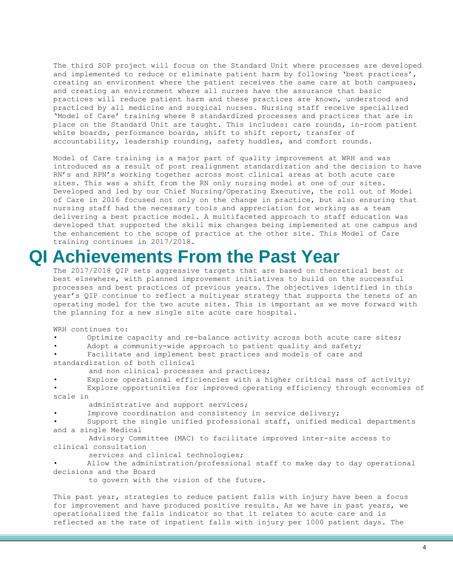The third SOP project will focus on the Standard Unit where processes are developed and implemented to reduce or eliminate patient harm by following 'best practices', creating an environment where the patient receives the same care at both campuses, and creating an environment where all nurses have the assurance that basic practices will reduce patient harm and these practices are known, understood and practiced by all medicine and surgical nurses. Nursing staff receive specialized 'Model of Care' training where 8 standardized processes and practices that are in place on the Standard Unit are taught. This includes: care rounds, in-room patient white boards, performance boards, shift to shift report, transfer of accountability, leadership rounding, safety huddles, and comfort rounds.

Model of Care training is a major part of quality improvement at WRH and was introduced as a result of post realignment standardization and the decision to have RN's and RPN's working together across most clinical areas at both acute care sites. This was a shift from the RN only nursing model at one of our sites. Developed and led by our Chief Nursing/Operating Executive, the roll out of Model of Care in 2016 focused not only on the change in practice, but also ensuring that nursing staff had the necessary tools and appreciation for working as a team delivering a best practice model. A multifaceted approach to staff education was developed that supported the skill mix changes being implemented at one campus and the enhancement to the scope of practice at the other site. This Model of Care training continues in 2017/2018.

### **QI Achievements From the Past Year**

The 2017/2018 QIP sets aggressive targets that are based on theoretical best or best elsewhere, with planned improvement initiatives to build on the successful processes and best practices of previous years. The objectives identified in this year's QIP continue to reflect a multiyear strategy that supports the tenets of an operating model for the two acute sites. This is important as we move forward with the planning for a new single site acute care hospital.

WRH continues to:

• Optimize capacity and re-balance activity across both acute care sites;

Adopt a community-wide approach to patient quality and safety;

Facilitate and implement best practices and models of care and standardization of both clinical

and non clinical processes and practices;

Explore operational efficiencies with a higher critical mass of activity;

Explore opportunities for improved operating efficiency through economies of scale in

administrative and support services;

Improve coordination and consistency in service delivery;

Support the single unified professional staff, unified medical departments and a single Medical

 Advisory Committee (MAC) to facilitate improved inter-site access to clinical consultation

services and clinical technologies;

• Allow the administration/professional staff to make day to day operational decisions and the Board

to govern with the vision of the future.

This past year, strategies to reduce patient falls with injury have been a focus for improvement and have produced positive results. As we have in past years, we operationalized the falls indicator so that it relates to acute care and is reflected as the rate of inpatient falls with injury per 1000 patient days. The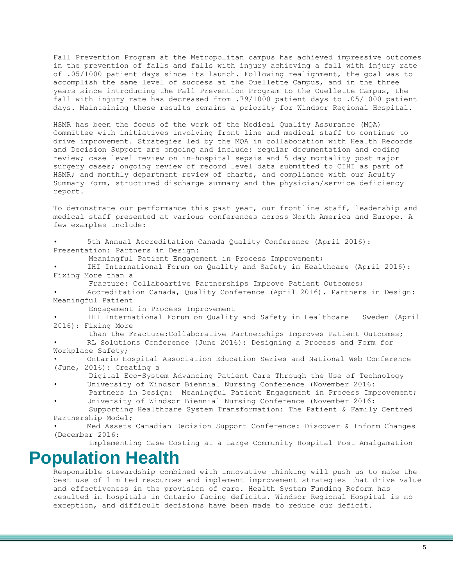Fall Prevention Program at the Metropolitan campus has achieved impressive outcomes in the prevention of falls and falls with injury achieving a fall with injury rate of .05/1000 patient days since its launch. Following realignment, the goal was to accomplish the same level of success at the Ouellette Campus, and in the three years since introducing the Fall Prevention Program to the Ouellette Campus, the fall with injury rate has decreased from .79/1000 patient days to .05/1000 patient days. Maintaining these results remains a priority for Windsor Regional Hospital.

HSMR has been the focus of the work of the Medical Quality Assurance (MQA) Committee with initiatives involving front line and medical staff to continue to drive improvement. Strategies led by the MQA in collaboration with Health Records and Decision Support are ongoing and include: regular documentation and coding review; case level review on in-hospital sepsis and 5 day mortality post major surgery cases; ongoing review of record level data submitted to CIHI as part of HSMR; and monthly department review of charts, and compliance with our Acuity Summary Form, structured discharge summary and the physician/service deficiency report.

To demonstrate our performance this past year, our frontline staff, leadership and medical staff presented at various conferences across North America and Europe. A few examples include:

5th Annual Accreditation Canada Quality Conference (April 2016): Presentation: Partners in Design:

Meaningful Patient Engagement in Process Improvement;

IHI International Forum on Quality and Safety in Healthcare (April 2016): Fixing More than a

Fracture: Collaboartive Partnerships Improve Patient Outcomes;

• Accreditation Canada, Quality Conference (April 2016). Partners in Design: Meaningful Patient

Engagement in Process Improvement

IHI International Forum on Quality and Safety in Healthcare - Sweden (April 2016): Fixing More

than the Fracture:Collaborative Partnerships Improves Patient Outcomes;

RL Solutions Conference (June 2016): Designing a Process and Form for Workplace Safety;

• Ontario Hospital Association Education Series and National Web Conference (June, 2016): Creating a

 Digital Eco-System Advancing Patient Care Through the Use of Technology University of Windsor Biennial Nursing Conference (November 2016:

- Partners in Design: Meaningful Patient Engagement in Process Improvement; University of Windsor Biennial Nursing Conference (November 2016:
- Supporting Healthcare System Transformation: The Patient & Family Centred Partnership Model;

Med Assets Canadian Decision Support Conference: Discover & Inform Changes (December 2016:

Implementing Case Costing at a Large Community Hospital Post Amalgamation

#### **Population Health**

Responsible stewardship combined with innovative thinking will push us to make the best use of limited resources and implement improvement strategies that drive value and effectiveness in the provision of care. Health System Funding Reform has resulted in hospitals in Ontario facing deficits. Windsor Regional Hospital is no exception, and difficult decisions have been made to reduce our deficit.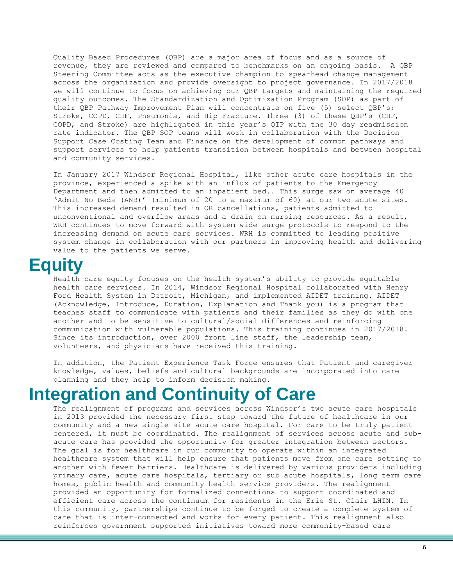Quality Based Procedures (QBP) are a major area of focus and as a source of revenue, they are reviewed and compared to benchmarks on an ongoing basis. A QBP Steering Committee acts as the executive champion to spearhead change management across the organization and provide oversight to project governance. In 2017/2018 we will continue to focus on achieving our QBP targets and maintaining the required quality outcomes. The Standardization and Optimization Program (SOP) as part of their QBP Pathway Improvement Plan will concentrate on five (5) select QBP's; Stroke, COPD, CHF, Pneumonia, and Hip Fracture. Three (3) of these QBP's (CHF, COPD, and Stroke) are highlighted in this year's QIP with the 30 day readmission rate indicator. The QBP SOP teams will work in collaboration with the Decision Support Case Costing Team and Finance on the development of common pathways and support services to help patients transition between hospitals and between hospital and community services.

In January 2017 Windsor Regional Hospital, like other acute care hospitals in the province, experienced a spike with an influx of patients to the Emergency Department and then admitted to an inpatient bed.. This surge saw on average 40 'Admit No Beds (ANB)' (minimum of 20 to a maximum of 60) at our two acute sites. This increased demand resulted in OR cancellations, patients admitted to unconventional and overflow areas and a drain on nursing resources. As a result, WRH continues to move forward with system wide surge protocols to respond to the increasing demand on acute care services. WRH is committed to leading positive system change in collaboration with our partners in improving health and delivering value to the patients we serve.

### **Equity**

Health care equity focuses on the health system's ability to provide equitable health care services. In 2014, Windsor Regional Hospital collaborated with Henry Ford Health System in Detroit, Michigan, and implemented AIDET training. AIDET (Acknowledge, Introduce, Duration, Explanation and Thank you) is a program that teaches staff to communicate with patients and their families as they do with one another and to be sensitive to cultural/social differences and reinforcing communication with vulnerable populations. This training continues in 2017/2018. Since its introduction, over 2000 front line staff, the leadership team, volunteers, and physicians have received this training.

In addition, the Patient Experience Task Force ensures that Patient and caregiver knowledge, values, beliefs and cultural backgrounds are incorporated into care planning and they help to inform decision making.

## **Integration and Continuity of Care**

The realignment of programs and services across Windsor's two acute care hospitals in 2013 provided the necessary first step toward the future of healthcare in our community and a new single site acute care hospital. For care to be truly patient centered, it must be coordinated. The realignment of services across acute and subacute care has provided the opportunity for greater integration between sectors. The goal is for healthcare in our community to operate within an integrated healthcare system that will help ensure that patients move from one care setting to another with fewer barriers. Healthcare is delivered by various providers including primary care, acute care hospitals, tertiary or sub acute hospitals, long term care homes, public health and community health service providers. The realignment provided an opportunity for formalized connections to support coordinated and efficient care across the continuum for residents in the Erie St. Clair LHIN. In this community, partnerships continue to be forged to create a complete system of care that is inter-connected and works for every patient. This realignment also reinforces government supported initiatives toward more community-based care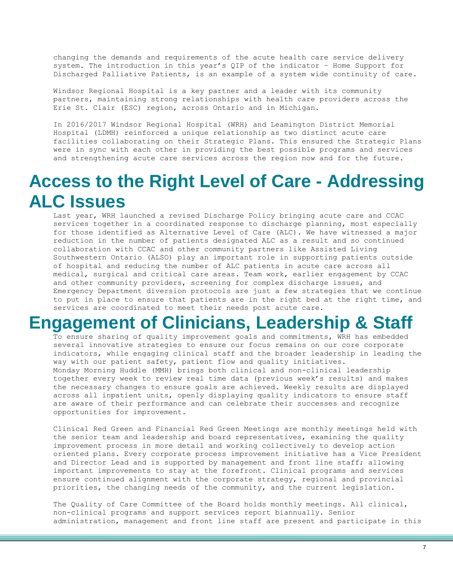changing the demands and requirements of the acute health care service delivery system. The introduction in this year's QIP of the indicator – Home Support for Discharged Palliative Patients, is an example of a system wide continuity of care.

Windsor Regional Hospital is a key partner and a leader with its community partners, maintaining strong relationships with health care providers across the Erie St. Clair (ESC) region, across Ontario and in Michigan.

In 2016/2017 Windsor Regional Hospital (WRH) and Leamington District Memorial Hospital (LDMH) reinforced a unique relationship as two distinct acute care facilities collaborating on their Strategic Plans. This ensured the Strategic Plans were in sync with each other in providing the best possible programs and services and strengthening acute care services across the region now and for the future.

## **Access to the Right Level of Care - Addressing ALC Issues**

Last year, WRH launched a revised Discharge Policy bringing acute care and CCAC services together in a coordinated response to discharge planning, most especially for those identified as Alternative Level of Care (ALC). We have witnessed a major reduction in the number of patients designated ALC as a result and so continued collaboration with CCAC and other community partners like Assisted Living Southwestern Ontario (ALSO) play an important role in supporting patients outside of hospital and reducing the number of ALC patients in acute care across all medical, surgical and critical care areas. Team work, earlier engagement by CCAC and other community providers, screening for complex discharge issues, and Emergency Department diversion protocols are just a few strategies that we continue to put in place to ensure that patients are in the right bed at the right time, and services are coordinated to meet their needs post acute care.

## **Engagement of Clinicians, Leadership & Staff**

To ensure sharing of quality improvement goals and commitments, WRH has embedded several innovative strategies to ensure our focus remains on our core corporate indicators, while engaging clinical staff and the broader leadership in leading the way with our patient safety, patient flow and quality initiatives. Monday Morning Huddle (MMH) brings both clinical and non-clinical leadership together every week to review real time data (previous week's results) and makes the necessary changes to ensure goals are achieved. Weekly results are displayed across all inpatient units, openly displaying quality indicators to ensure staff are aware of their performance and can celebrate their successes and recognize opportunities for improvement.

Clinical Red Green and Financial Red Green Meetings are monthly meetings held with the senior team and leadership and board representatives, examining the quality improvement process in more detail and working collectively to develop action oriented plans. Every corporate process improvement initiative has a Vice President and Director Lead and is supported by management and front line staff; allowing important improvements to stay at the forefront. Clinical programs and services ensure continued alignment with the corporate strategy, regional and provincial priorities, the changing needs of the community, and the current legislation.

The Quality of Care Committee of the Board holds monthly meetings. All clinical, non-clinical programs and support services report biannually. Senior administration, management and front line staff are present and participate in this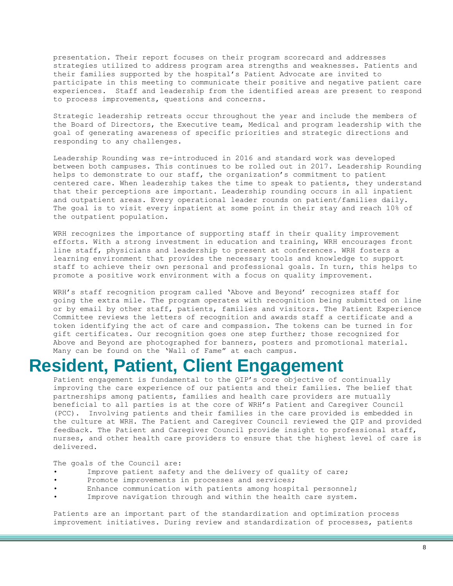presentation. Their report focuses on their program scorecard and addresses strategies utilized to address program area strengths and weaknesses. Patients and their families supported by the hospital's Patient Advocate are invited to participate in this meeting to communicate their positive and negative patient care experiences. Staff and leadership from the identified areas are present to respond to process improvements, questions and concerns.

Strategic leadership retreats occur throughout the year and include the members of the Board of Directors, the Executive team, Medical and program leadership with the goal of generating awareness of specific priorities and strategic directions and responding to any challenges.

Leadership Rounding was re-introduced in 2016 and standard work was developed between both campuses. This continues to be rolled out in 2017. Leadership Rounding helps to demonstrate to our staff, the organization's commitment to patient centered care. When leadership takes the time to speak to patients, they understand that their perceptions are important. Leadership rounding occurs in all inpatient and outpatient areas. Every operational leader rounds on patient/families daily. The goal is to visit every inpatient at some point in their stay and reach 10% of the outpatient population.

WRH recognizes the importance of supporting staff in their quality improvement efforts. With a strong investment in education and training, WRH encourages front line staff, physicians and leadership to present at conferences. WRH fosters a learning environment that provides the necessary tools and knowledge to support staff to achieve their own personal and professional goals. In turn, this helps to promote a positive work environment with a focus on quality improvement.

WRH's staff recognition program called 'Above and Beyond' recognizes staff for going the extra mile. The program operates with recognition being submitted on line or by email by other staff, patients, families and visitors. The Patient Experience Committee reviews the letters of recognition and awards staff a certificate and a token identifying the act of care and compassion. The tokens can be turned in for gift certificates. Our recognition goes one step further; those recognized for Above and Beyond are photographed for banners, posters and promotional material. Many can be found on the 'Wall of Fame" at each campus.

## **Resident, Patient, Client Engagement**

Patient engagement is fundamental to the QIP's core objective of continually improving the care experience of our patients and their families. The belief that partnerships among patients, families and health care providers are mutually beneficial to all parties is at the core of WRH's Patient and Caregiver Council (PCC). Involving patients and their families in the care provided is embedded in the culture at WRH. The Patient and Caregiver Council reviewed the QIP and provided feedback. The Patient and Caregiver Council provide insight to professional staff, nurses, and other health care providers to ensure that the highest level of care is delivered.

The goals of the Council are:

- Improve patient safety and the delivery of quality of care;
- Promote improvements in processes and services;
- Enhance communication with patients among hospital personnel;
- Improve navigation through and within the health care system.

Patients are an important part of the standardization and optimization process improvement initiatives. During review and standardization of processes, patients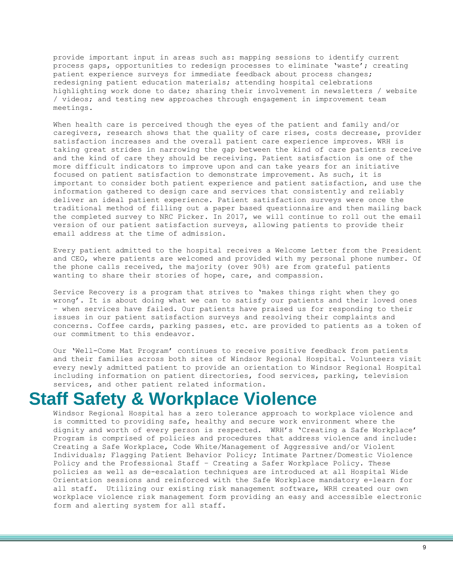provide important input in areas such as: mapping sessions to identify current process gaps, opportunities to redesign processes to eliminate 'waste'; creating patient experience surveys for immediate feedback about process changes; redesigning patient education materials; attending hospital celebrations highlighting work done to date; sharing their involvement in newsletters / website / videos; and testing new approaches through engagement in improvement team meetings.

When health care is perceived though the eyes of the patient and family and/or caregivers, research shows that the quality of care rises, costs decrease, provider satisfaction increases and the overall patient care experience improves. WRH is taking great strides in narrowing the gap between the kind of care patients receive and the kind of care they should be receiving. Patient satisfaction is one of the more difficult indicators to improve upon and can take years for an initiative focused on patient satisfaction to demonstrate improvement. As such, it is important to consider both patient experience and patient satisfaction, and use the information gathered to design care and services that consistently and reliably deliver an ideal patient experience. Patient satisfaction surveys were once the traditional method of filling out a paper based questionnaire and then mailing back the completed survey to NRC Picker. In 2017, we will continue to roll out the email version of our patient satisfaction surveys, allowing patients to provide their email address at the time of admission.

Every patient admitted to the hospital receives a Welcome Letter from the President and CEO, where patients are welcomed and provided with my personal phone number. Of the phone calls received, the majority (over 90%) are from grateful patients wanting to share their stories of hope, care, and compassion.

Service Recovery is a program that strives to 'makes things right when they go wrong'. It is about doing what we can to satisfy our patients and their loved ones – when services have failed. Our patients have praised us for responding to their issues in our patient satisfaction surveys and resolving their complaints and concerns. Coffee cards, parking passes, etc. are provided to patients as a token of our commitment to this endeavor.

Our 'Well-Come Mat Program' continues to receive positive feedback from patients and their families across both sites of Windsor Regional Hospital. Volunteers visit every newly admitted patient to provide an orientation to Windsor Regional Hospital including information on patient directories, food services, parking, television services, and other patient related information.

#### **Staff Safety & Workplace Violence**

Windsor Regional Hospital has a zero tolerance approach to workplace violence and is committed to providing safe, healthy and secure work environment where the dignity and worth of every person is respected. WRH's 'Creating a Safe Workplace' Program is comprised of policies and procedures that address violence and include: Creating a Safe Workplace, Code White/Management of Aggressive and/or Violent Individuals; Flagging Patient Behavior Policy; Intimate Partner/Domestic Violence Policy and the Professional Staff – Creating a Safer Workplace Policy. These policies as well as de-escalation techniques are introduced at all Hospital Wide Orientation sessions and reinforced with the Safe Workplace mandatory e-learn for all staff. Utilizing our existing risk management software, WRH created our own workplace violence risk management form providing an easy and accessible electronic form and alerting system for all staff.